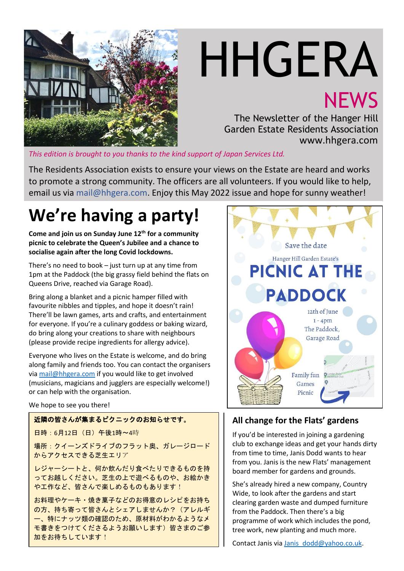

# HHGERA **NEWS**

The Newsletter of the Hanger Hill Garden Estate Residents Association www.hhgera.com

*This edition is brought to you thanks to the kind support of Japan Services Ltd.*

The Residents Association exists to ensure your views on the Estate are heard and works to promote a strong community. The officers are all volunteers. If you would like to help, email us via mail@hhgera.com. Enjoy this May 2022 issue and hope for sunny weather!

## **We're having a party!**

**Come and join us on Sunday June 12th for a community picnic to celebrate the Queen's Jubilee and a chance to socialise again after the long Covid lockdowns.**

There's no need to book – just turn up at any time from 1pm at the Paddock (the big grassy field behind the flats on Queens Drive, reached via Garage Road).

Bring along a blanket and a picnic hamper filled with favourite nibbles and tipples, and hope it doesn't rain! There'll be lawn games, arts and crafts, and entertainment for everyone. If you're a culinary goddess or baking wizard, do bring along your creations to share with neighbours (please provide recipe ingredients for allergy advice).

Everyone who lives on the Estate is welcome, and do bring along family and friends too. You can contact the organisers vi[a mail@hhgera.com](mailto:mail@hhgera.com) if you would like to get involved (musicians, magicians and jugglers are especially welcome!) or can help with the organisation.

#### We hope to see you there!

#### 近隣の皆さんが集まるピクニックのお知らせです。

日時:6月12日(日)午後1時~4時

場所:クイーンズドライブのフラット奥、ガレージロード からアクセスできる芝生エリア

レジャーシートと、何か飲んだり食べたりできるものを持 ってお越しください。芝生の上で遊べるものや、お絵かき や工作など、皆さんで楽しめるものもあります!

お料理やケーキ・焼き菓子などのお得意のレシピをお持ち の方、持ち寄って皆さんとシェアしませんか?(アレルギ ー、特にナッツ類の確認のため、原材料がわかるようなメ モ書きをつけてくださるようお願いします)皆さまのご参 加をお待ちしています!



#### **All change for the Flats' gardens**

If you'd be interested in joining a gardening club to exchange ideas and get your hands dirty from time to time, Janis Dodd wants to hear from you. Janis is the new Flats' management board member for gardens and grounds.

She's already hired a new company, Country Wide, to look after the gardens and start clearing garden waste and dumped furniture from the Paddock. Then there's a big programme of work which includes the pond, tree work, new planting and much more.

Contact Janis via [Janis\\_dodd@yahoo.co.uk.](mailto:Janis_dodd@yahoo.co.uk)